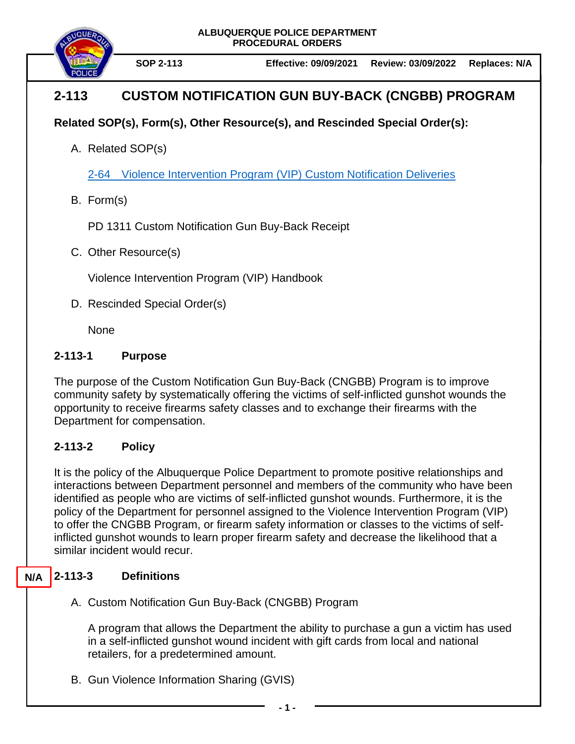**ALBUQUERQUE POLICE DEPARTMENT PROCEDURAL ORDERS**



## **2-113 CUSTOM NOTIFICATION GUN BUY-BACK (CNGBB) PROGRAM**

### **Related SOP(s), Form(s), Other Resource(s), and Rescinded Special Order(s):**

A. Related SOP(s)

[2-64 Violence Intervention Program \(VIP\) Custom Notification Deliveries](https://powerdms.com/docs/2235528)

B. Form(s)

PD 1311 Custom Notification Gun Buy-Back Receipt

C. Other Resource(s)

Violence Intervention Program (VIP) Handbook

D. Rescinded Special Order(s)

None

#### **2-113-1 Purpose**

The purpose of the Custom Notification Gun Buy-Back (CNGBB) Program is to improve community safety by systematically offering the victims of self-inflicted gunshot wounds the opportunity to receive firearms safety classes and to exchange their firearms with the Department for compensation.

#### **2-113-2 Policy**

It is the policy of the Albuquerque Police Department to promote positive relationships and interactions between Department personnel and members of the community who have been identified as people who are victims of self-inflicted gunshot wounds. Furthermore, it is the policy of the Department for personnel assigned to the Violence Intervention Program (VIP) to offer the CNGBB Program, or firearm safety information or classes to the victims of selfinflicted gunshot wounds to learn proper firearm safety and decrease the likelihood that a similar incident would recur.

#### **2-113-3 Definitions N/A**

A. Custom Notification Gun Buy-Back (CNGBB) Program

A program that allows the Department the ability to purchase a gun a victim has used in a self-inflicted gunshot wound incident with gift cards from local and national retailers, for a predetermined amount.

B. Gun Violence Information Sharing (GVIS)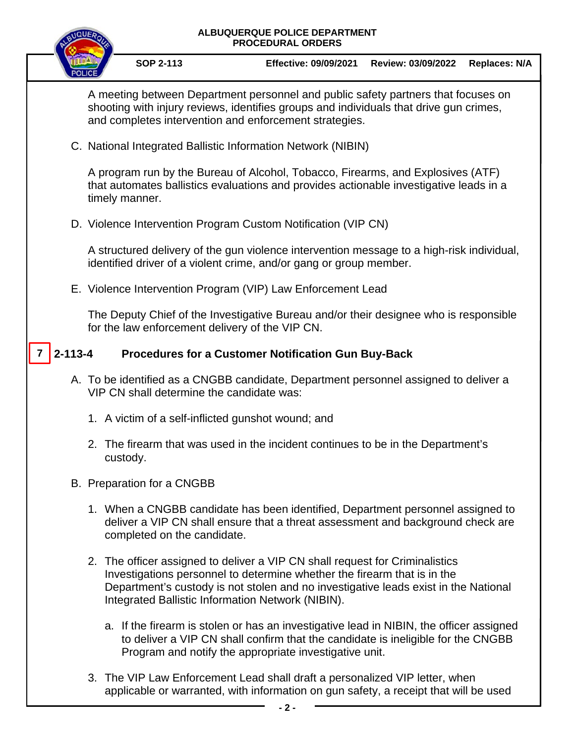# **ALBUQUERQUE POLICE DEPARTMENT PROCEDURAL ORDERS SOP 2-113 Effective: 09/09/2021 Review: 03/09/2022 Replaces: N/A** A meeting between Department personnel and public safety partners that focuses on shooting with injury reviews, identifies groups and individuals that drive gun crimes, and completes intervention and enforcement strategies. C. National Integrated Ballistic Information Network (NIBIN) A program run by the Bureau of Alcohol, Tobacco, Firearms, and Explosives (ATF) that automates ballistics evaluations and provides actionable investigative leads in a timely manner. D. Violence Intervention Program Custom Notification (VIP CN) A structured delivery of the gun violence intervention message to a high-risk individual, identified driver of a violent crime, and/or gang or group member. E. Violence Intervention Program (VIP) Law Enforcement Lead The Deputy Chief of the Investigative Bureau and/or their designee who is responsible for the law enforcement delivery of the VIP CN. **2-113-4 Procedures for a Customer Notification Gun Buy-Back** A. To be identified as a CNGBB candidate, Department personnel assigned to deliver a VIP CN shall determine the candidate was: 1. A victim of a self-inflicted gunshot wound; and 2. The firearm that was used in the incident continues to be in the Department's custody. B. Preparation for a CNGBB 1. When a CNGBB candidate has been identified, Department personnel assigned to deliver a VIP CN shall ensure that a threat assessment and background check are completed on the candidate. 2. The officer assigned to deliver a VIP CN shall request for Criminalistics Investigations personnel to determine whether the firearm that is in the Department's custody is not stolen and no investigative leads exist in the National Integrated Ballistic Information Network (NIBIN). a. If the firearm is stolen or has an investigative lead in NIBIN, the officer assigned to deliver a VIP CN shall confirm that the candidate is ineligible for the CNGBB Program and notify the appropriate investigative unit. **7**

3. The VIP Law Enforcement Lead shall draft a personalized VIP letter, when applicable or warranted, with information on gun safety, a receipt that will be used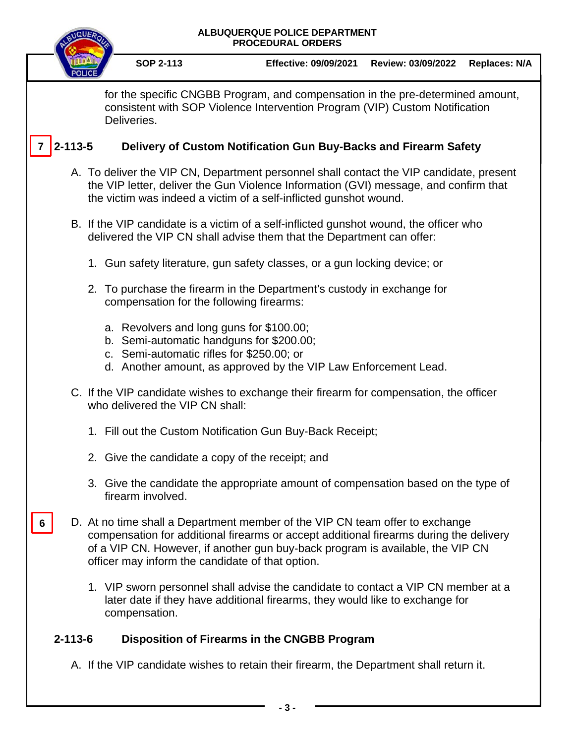| ALBUQUERQUE POLICE DEPARTMENT<br><b>PROCEDURAL ORDERS</b>                                                                                                                    |                                                                                                                                                                                                                                                                                                              |                                                                                                                                                                   |                    |                      |
|------------------------------------------------------------------------------------------------------------------------------------------------------------------------------|--------------------------------------------------------------------------------------------------------------------------------------------------------------------------------------------------------------------------------------------------------------------------------------------------------------|-------------------------------------------------------------------------------------------------------------------------------------------------------------------|--------------------|----------------------|
|                                                                                                                                                                              | <b>SOP 2-113</b>                                                                                                                                                                                                                                                                                             | <b>Effective: 09/09/2021</b>                                                                                                                                      | Review: 03/09/2022 | <b>Replaces: N/A</b> |
| for the specific CNGBB Program, and compensation in the pre-determined amount,<br>consistent with SOP Violence Intervention Program (VIP) Custom Notification<br>Deliveries. |                                                                                                                                                                                                                                                                                                              |                                                                                                                                                                   |                    |                      |
| $2 - 113 - 5$<br>Delivery of Custom Notification Gun Buy-Backs and Firearm Safety                                                                                            |                                                                                                                                                                                                                                                                                                              |                                                                                                                                                                   |                    |                      |
|                                                                                                                                                                              | A. To deliver the VIP CN, Department personnel shall contact the VIP candidate, present<br>the VIP letter, deliver the Gun Violence Information (GVI) message, and confirm that<br>the victim was indeed a victim of a self-inflicted gunshot wound.                                                         |                                                                                                                                                                   |                    |                      |
|                                                                                                                                                                              | B. If the VIP candidate is a victim of a self-inflicted gunshot wound, the officer who<br>delivered the VIP CN shall advise them that the Department can offer:                                                                                                                                              |                                                                                                                                                                   |                    |                      |
|                                                                                                                                                                              |                                                                                                                                                                                                                                                                                                              | 1. Gun safety literature, gun safety classes, or a gun locking device; or                                                                                         |                    |                      |
|                                                                                                                                                                              | 2. To purchase the firearm in the Department's custody in exchange for<br>compensation for the following firearms:                                                                                                                                                                                           |                                                                                                                                                                   |                    |                      |
|                                                                                                                                                                              | a. Revolvers and long guns for \$100.00;<br>b. Semi-automatic handguns for \$200.00;<br>c. Semi-automatic rifles for \$250.00; or                                                                                                                                                                            | d. Another amount, as approved by the VIP Law Enforcement Lead.                                                                                                   |                    |                      |
| C. If the VIP candidate wishes to exchange their firearm for compensation, the officer<br>who delivered the VIP CN shall:                                                    |                                                                                                                                                                                                                                                                                                              |                                                                                                                                                                   |                    |                      |
|                                                                                                                                                                              |                                                                                                                                                                                                                                                                                                              | 1. Fill out the Custom Notification Gun Buy-Back Receipt;                                                                                                         |                    |                      |
|                                                                                                                                                                              | 2. Give the candidate a copy of the receipt; and                                                                                                                                                                                                                                                             |                                                                                                                                                                   |                    |                      |
|                                                                                                                                                                              | firearm involved.                                                                                                                                                                                                                                                                                            | 3. Give the candidate the appropriate amount of compensation based on the type of                                                                                 |                    |                      |
| 6                                                                                                                                                                            | D. At no time shall a Department member of the VIP CN team offer to exchange<br>compensation for additional firearms or accept additional firearms during the delivery<br>of a VIP CN. However, if another gun buy-back program is available, the VIP CN<br>officer may inform the candidate of that option. |                                                                                                                                                                   |                    |                      |
|                                                                                                                                                                              | compensation.                                                                                                                                                                                                                                                                                                | 1. VIP sworn personnel shall advise the candidate to contact a VIP CN member at a<br>later date if they have additional firearms, they would like to exchange for |                    |                      |
| $2 - 113 - 6$<br><b>Disposition of Firearms in the CNGBB Program</b>                                                                                                         |                                                                                                                                                                                                                                                                                                              |                                                                                                                                                                   |                    |                      |
| A. If the VIP candidate wishes to retain their firearm, the Department shall return it.                                                                                      |                                                                                                                                                                                                                                                                                                              |                                                                                                                                                                   |                    |                      |
|                                                                                                                                                                              |                                                                                                                                                                                                                                                                                                              |                                                                                                                                                                   |                    |                      |